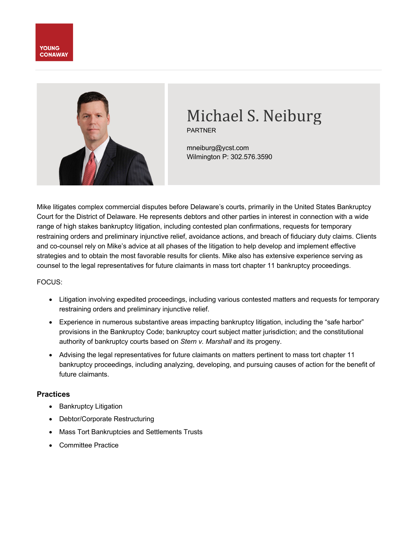



# Michael S. Neiburg

PARTNER

mneiburg@ycst.com Wilmington P: 302.576.3590

Mike litigates complex commercial disputes before Delaware's courts, primarily in the United States Bankruptcy Court for the District of Delaware. He represents debtors and other parties in interest in connection with a wide range of high stakes bankruptcy litigation, including contested plan confirmations, requests for temporary restraining orders and preliminary injunctive relief, avoidance actions, and breach of fiduciary duty claims. Clients and co-counsel rely on Mike's advice at all phases of the litigation to help develop and implement effective strategies and to obtain the most favorable results for clients. Mike also has extensive experience serving as counsel to the legal representatives for future claimants in mass tort chapter 11 bankruptcy proceedings.

#### FOCUS:

- Litigation involving expedited proceedings, including various contested matters and requests for temporary restraining orders and preliminary injunctive relief.
- Experience in numerous substantive areas impacting bankruptcy litigation, including the "safe harbor" provisions in the Bankruptcy Code; bankruptcy court subject matter jurisdiction; and the constitutional authority of bankruptcy courts based on *Stern v. Marshall* and its progeny.
- Advising the legal representatives for future claimants on matters pertinent to mass tort chapter 11 bankruptcy proceedings, including analyzing, developing, and pursuing causes of action for the benefit of future claimants.

#### **Practices**

- Bankruptcy Litigation
- Debtor/Corporate Restructuring
- Mass Tort Bankruptcies and Settlements Trusts
- Committee Practice